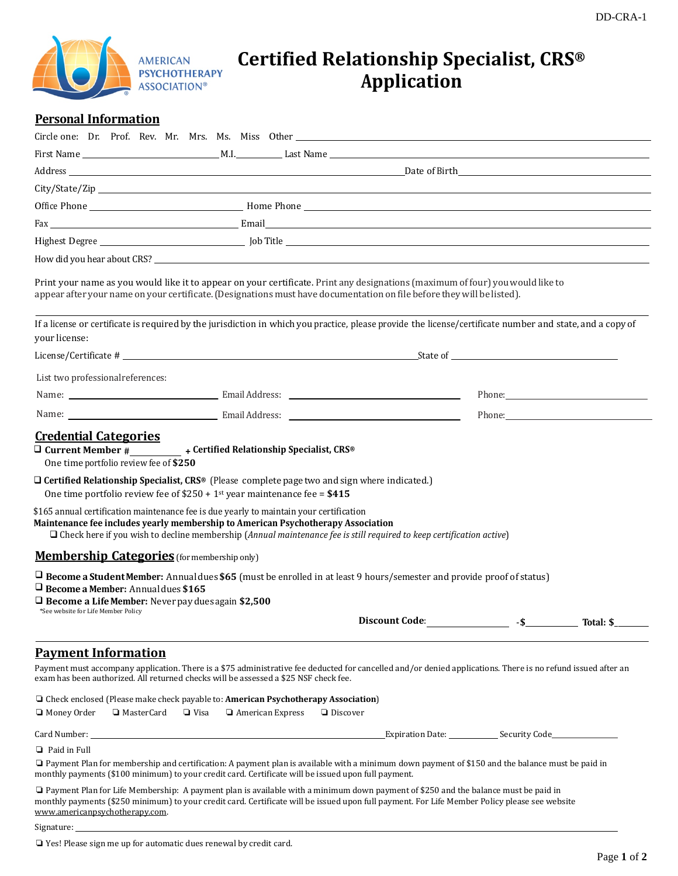

# **Certified Relationship Specialist, CRS® Application**

## **Personal Information**

|                                                                                                                                               | How did you hear about CRS? Letter that the state of the state of the state of the state of the state of the state of the state of the state of the state of the state of the state of the state of the state of the state of                                                                                                                                                                                                                                                                                |                                |        |                                                                                                                |
|-----------------------------------------------------------------------------------------------------------------------------------------------|--------------------------------------------------------------------------------------------------------------------------------------------------------------------------------------------------------------------------------------------------------------------------------------------------------------------------------------------------------------------------------------------------------------------------------------------------------------------------------------------------------------|--------------------------------|--------|----------------------------------------------------------------------------------------------------------------|
|                                                                                                                                               | Print your name as you would like it to appear on your certificate. Print any designations (maximum of four) you would like to<br>appear after your name on your certificate. (Designations must have documentation on file before they will be listed).                                                                                                                                                                                                                                                     |                                |        |                                                                                                                |
| your license:                                                                                                                                 | If a license or certificate is required by the jurisdiction in which you practice, please provide the license/certificate number and state, and a copy of                                                                                                                                                                                                                                                                                                                                                    |                                |        |                                                                                                                |
|                                                                                                                                               | License/Certificate #                                                                                                                                                                                                                                                                                                                                                                                                                                                                                        |                                |        |                                                                                                                |
| List two professional references:                                                                                                             |                                                                                                                                                                                                                                                                                                                                                                                                                                                                                                              |                                |        |                                                                                                                |
|                                                                                                                                               |                                                                                                                                                                                                                                                                                                                                                                                                                                                                                                              |                                |        |                                                                                                                |
|                                                                                                                                               |                                                                                                                                                                                                                                                                                                                                                                                                                                                                                                              |                                |        | Phone: 2008 and 2008 and 2008 and 2008 and 2008 and 2008 and 2008 and 2008 and 2008 and 2008 and 2008 and 2008 |
| One time portfolio review fee of \$250                                                                                                        | $\Box$ Certified Relationship Specialist, CRS® (Please complete page two and sign where indicated.)<br>One time portfolio review fee of $$250 + 1$ <sup>st</sup> year maintenance fee = $$415$<br>\$165 annual certification maintenance fee is due yearly to maintain your certification<br>Maintenance fee includes yearly membership to American Psychotherapy Association<br>$\Box$ Check here if you wish to decline membership (Annual maintenance fee is still required to keep certification active) |                                |        |                                                                                                                |
| <b>Membership Categories</b> (for membership only)                                                                                            |                                                                                                                                                                                                                                                                                                                                                                                                                                                                                                              |                                |        |                                                                                                                |
| $\Box$ Become a Member: Annual dues \$165<br>$\Box$ Become a Life Member: Never pay dues again \$2,500<br>*See website for Life Member Policy | $\Box$ Become a Student Member: Annual dues \$65 (must be enrolled in at least 9 hours/semester and provide proof of status)                                                                                                                                                                                                                                                                                                                                                                                 | <b>Discount Code:</b>          | $-$ \$ | Total: \$                                                                                                      |
| <b>Payment Information</b>                                                                                                                    |                                                                                                                                                                                                                                                                                                                                                                                                                                                                                                              |                                |        |                                                                                                                |
|                                                                                                                                               | Payment must accompany application. There is a \$75 administrative fee deducted for cancelled and/or denied applications. There is no refund issued after an<br>exam has been authorized. All returned checks will be assessed a \$25 NSF check fee.                                                                                                                                                                                                                                                         |                                |        |                                                                                                                |
| Money Order<br>□ MasterCard                                                                                                                   | □ Check enclosed (Please make check payable to: American Psychotherapy Association)<br>$\Box$ Visa<br>American Express                                                                                                                                                                                                                                                                                                                                                                                       | $\Box$ Discover                |        |                                                                                                                |
|                                                                                                                                               |                                                                                                                                                                                                                                                                                                                                                                                                                                                                                                              | Expiration Date: Security Code |        |                                                                                                                |
| $\Box$ Paid in Full                                                                                                                           |                                                                                                                                                                                                                                                                                                                                                                                                                                                                                                              |                                |        |                                                                                                                |
|                                                                                                                                               | □ Payment Plan for membership and certification: A payment plan is available with a minimum down payment of \$150 and the balance must be paid in<br>monthly payments (\$100 minimum) to your credit card. Certificate will be issued upon full payment.                                                                                                                                                                                                                                                     |                                |        |                                                                                                                |
| www.americanpsychotherapy.com.                                                                                                                | □ Payment Plan for Life Membership: A payment plan is available with a minimum down payment of \$250 and the balance must be paid in<br>monthly payments (\$250 minimum) to your credit card. Certificate will be issued upon full payment. For Life Member Policy please see website                                                                                                                                                                                                                        |                                |        |                                                                                                                |

Signature: \_